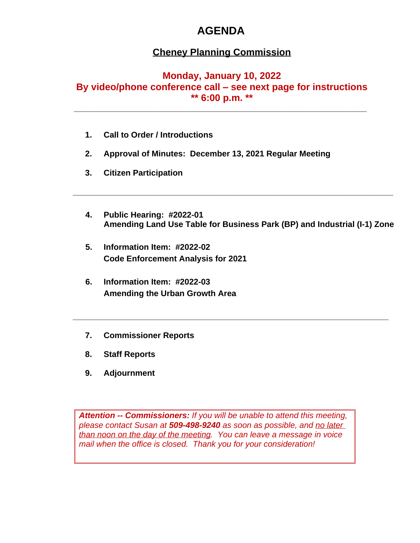# **AGENDA**

## **Cheney Planning Commission**

### **Monday, January 10, 2022**

# **By video/phone conference call – see next page for instructions**

**\*\* 6:00 p.m. \*\* \_\_\_\_\_\_\_\_\_\_\_\_\_\_\_\_\_\_\_\_\_\_\_\_\_\_\_\_\_\_\_\_\_\_\_\_\_\_\_\_\_\_\_\_\_\_\_\_\_\_\_\_\_\_\_\_\_\_\_\_\_\_\_\_**

- **1. Call to Order / Introductions**
- **2. Approval of Minutes: December 13, 2021 Regular Meeting**
- **3. Citizen Participation**
- **4. Public Hearing: #2022-01 Amending Land Use Table for Business Park (BP) and Industrial (I-1) Zone**

**\_\_\_\_\_\_\_\_\_\_\_\_\_\_\_\_\_\_\_\_\_\_\_\_\_\_\_\_\_\_\_\_\_\_\_\_\_\_\_\_\_\_\_\_\_\_\_\_\_\_\_\_\_\_\_\_\_\_\_\_\_\_\_\_\_\_\_\_\_\_**

**\_\_\_\_\_\_\_\_\_\_\_\_\_\_\_\_\_\_\_\_\_\_\_\_\_\_\_\_\_\_\_\_\_\_\_\_\_\_\_\_\_\_\_\_\_\_\_\_\_\_\_\_\_\_\_\_\_\_\_\_\_\_\_\_\_\_\_\_\_**

- **5. Information Item: #2022-02 Code Enforcement Analysis for 2021**
- **6. Information Item: #2022-03 Amending the Urban Growth Area**
- **7. Commissioner Reports**
- **8. Staff Reports**
- **9. Adjournment**

*Attention -- Commissioners: If you will be unable to attend this meeting, please contact Susan at 509-498-9240 as soon as possible, and no later than noon on the day of the meeting. You can leave a message in voice mail when the office is closed. Thank you for your consideration!*